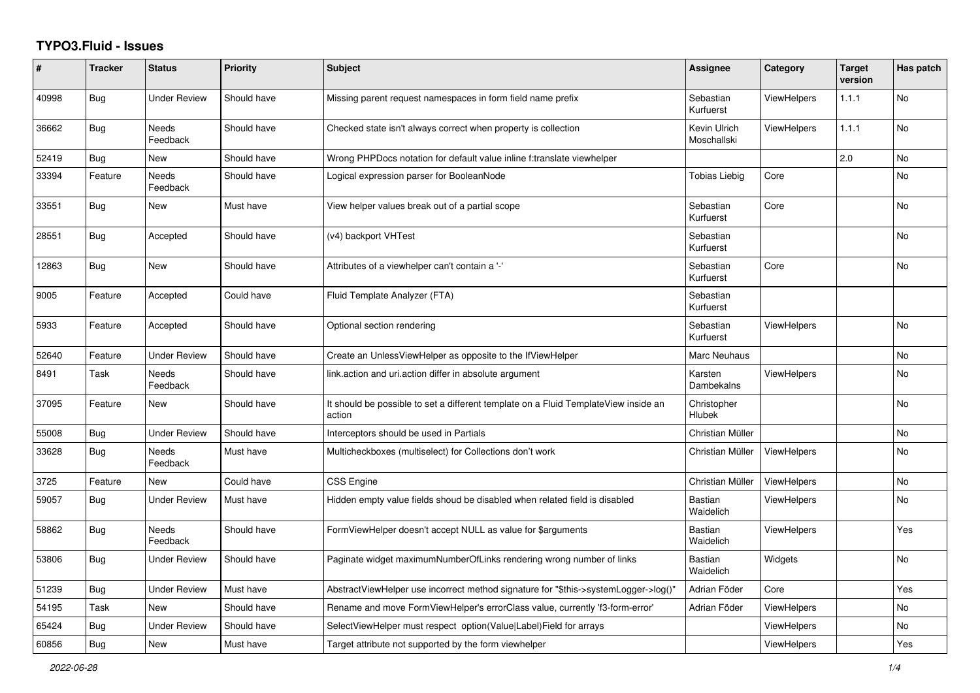## **TYPO3.Fluid - Issues**

| #     | <b>Tracker</b> | <b>Status</b>            | <b>Priority</b> | <b>Subject</b>                                                                                | Assignee                    | Category           | <b>Target</b><br>version | Has patch |
|-------|----------------|--------------------------|-----------------|-----------------------------------------------------------------------------------------------|-----------------------------|--------------------|--------------------------|-----------|
| 40998 | <b>Bug</b>     | <b>Under Review</b>      | Should have     | Missing parent request namespaces in form field name prefix                                   | Sebastian<br>Kurfuerst      | <b>ViewHelpers</b> | 1.1.1                    | <b>No</b> |
| 36662 | Bug            | Needs<br>Feedback        | Should have     | Checked state isn't always correct when property is collection                                | Kevin Ulrich<br>Moschallski | <b>ViewHelpers</b> | 1.1.1                    | No        |
| 52419 | Bug            | New                      | Should have     | Wrong PHPDocs notation for default value inline f:translate viewhelper                        |                             |                    | 2.0                      | No        |
| 33394 | Feature        | <b>Needs</b><br>Feedback | Should have     | Logical expression parser for BooleanNode                                                     | Tobias Liebig               | Core               |                          | No        |
| 33551 | <b>Bug</b>     | New                      | Must have       | View helper values break out of a partial scope                                               | Sebastian<br>Kurfuerst      | Core               |                          | <b>No</b> |
| 28551 | Bug            | Accepted                 | Should have     | (v4) backport VHTest                                                                          | Sebastian<br>Kurfuerst      |                    |                          | <b>No</b> |
| 12863 | <b>Bug</b>     | New                      | Should have     | Attributes of a viewhelper can't contain a '-'                                                | Sebastian<br>Kurfuerst      | Core               |                          | No        |
| 9005  | Feature        | Accepted                 | Could have      | Fluid Template Analyzer (FTA)                                                                 | Sebastian<br>Kurfuerst      |                    |                          |           |
| 5933  | Feature        | Accepted                 | Should have     | Optional section rendering                                                                    | Sebastian<br>Kurfuerst      | <b>ViewHelpers</b> |                          | No        |
| 52640 | Feature        | <b>Under Review</b>      | Should have     | Create an UnlessViewHelper as opposite to the IfViewHelper                                    | <b>Marc Neuhaus</b>         |                    |                          | <b>No</b> |
| 8491  | Task           | <b>Needs</b><br>Feedback | Should have     | link.action and uri.action differ in absolute argument                                        | Karsten<br>Dambekalns       | <b>ViewHelpers</b> |                          | <b>No</b> |
| 37095 | Feature        | New                      | Should have     | It should be possible to set a different template on a Fluid TemplateView inside an<br>action | Christopher<br>Hlubek       |                    |                          | No        |
| 55008 | <b>Bug</b>     | Under Review             | Should have     | Interceptors should be used in Partials                                                       | Christian Müller            |                    |                          | No        |
| 33628 | <b>Bug</b>     | <b>Needs</b><br>Feedback | Must have       | Multicheckboxes (multiselect) for Collections don't work                                      | Christian Müller            | ViewHelpers        |                          | <b>No</b> |
| 3725  | Feature        | New                      | Could have      | CSS Engine                                                                                    | Christian Müller            | ViewHelpers        |                          | <b>No</b> |
| 59057 | Bug            | <b>Under Review</b>      | Must have       | Hidden empty value fields shoud be disabled when related field is disabled                    | <b>Bastian</b><br>Waidelich | <b>ViewHelpers</b> |                          | <b>No</b> |
| 58862 | <b>Bug</b>     | Needs<br>Feedback        | Should have     | FormViewHelper doesn't accept NULL as value for \$arguments                                   | <b>Bastian</b><br>Waidelich | <b>ViewHelpers</b> |                          | Yes       |
| 53806 | <b>Bug</b>     | Under Review             | Should have     | Paginate widget maximumNumberOfLinks rendering wrong number of links                          | Bastian<br>Waidelich        | Widgets            |                          | No        |
| 51239 | <b>Bug</b>     | <b>Under Review</b>      | Must have       | AbstractViewHelper use incorrect method signature for "\$this->systemLogger->log()"           | Adrian Föder                | Core               |                          | Yes       |
| 54195 | Task           | <b>New</b>               | Should have     | Rename and move FormViewHelper's errorClass value, currently 'f3-form-error'                  | Adrian Föder                | <b>ViewHelpers</b> |                          | <b>No</b> |
| 65424 | Bug            | <b>Under Review</b>      | Should have     | SelectViewHelper must respect option(Value Label)Field for arrays                             |                             | <b>ViewHelpers</b> |                          | No        |
| 60856 | <b>Bug</b>     | New                      | Must have       | Target attribute not supported by the form viewhelper                                         |                             | ViewHelpers        |                          | Yes       |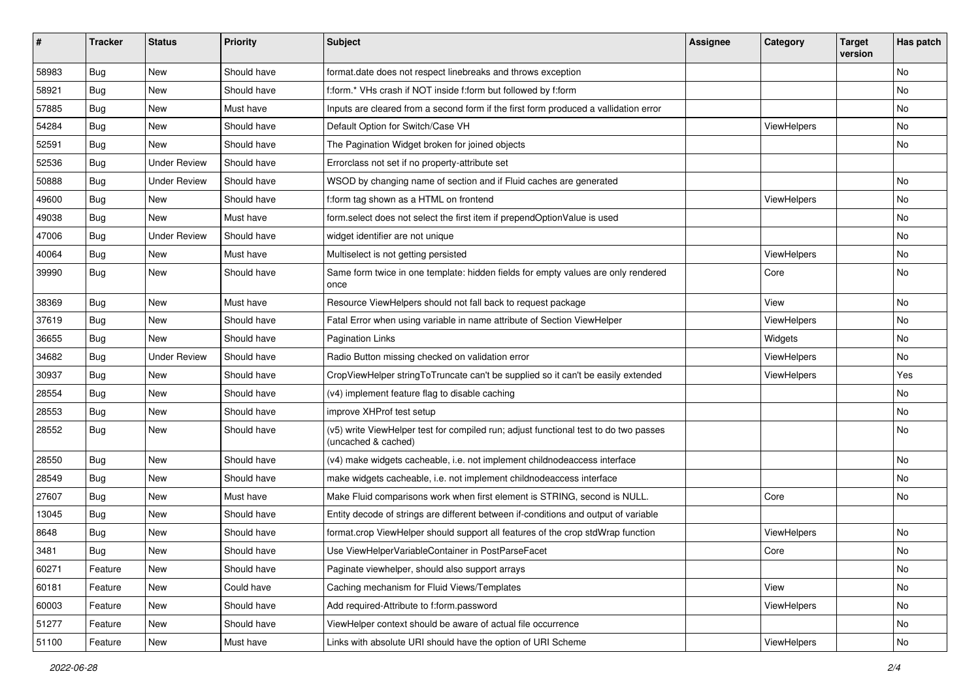| ∦     | <b>Tracker</b> | <b>Status</b>       | <b>Priority</b> | Subject                                                                                                     | Assignee | Category    | <b>Target</b><br>version | Has patch |
|-------|----------------|---------------------|-----------------|-------------------------------------------------------------------------------------------------------------|----------|-------------|--------------------------|-----------|
| 58983 | Bug            | New                 | Should have     | format.date does not respect linebreaks and throws exception                                                |          |             |                          | No        |
| 58921 | <b>Bug</b>     | New                 | Should have     | f:form.* VHs crash if NOT inside f:form but followed by f:form                                              |          |             |                          | No        |
| 57885 | <b>Bug</b>     | New                 | Must have       | Inputs are cleared from a second form if the first form produced a vallidation error                        |          |             |                          | No        |
| 54284 | Bug            | New                 | Should have     | Default Option for Switch/Case VH                                                                           |          | ViewHelpers |                          | No        |
| 52591 | <b>Bug</b>     | New                 | Should have     | The Pagination Widget broken for joined objects                                                             |          |             |                          | No        |
| 52536 | Bug            | Under Review        | Should have     | Errorclass not set if no property-attribute set                                                             |          |             |                          |           |
| 50888 | Bug            | <b>Under Review</b> | Should have     | WSOD by changing name of section and if Fluid caches are generated                                          |          |             |                          | No        |
| 49600 | Bug            | New                 | Should have     | f:form tag shown as a HTML on frontend                                                                      |          | ViewHelpers |                          | No        |
| 49038 | Bug            | New                 | Must have       | form select does not select the first item if prependOptionValue is used                                    |          |             |                          | No        |
| 47006 | <b>Bug</b>     | <b>Under Review</b> | Should have     | widget identifier are not unique                                                                            |          |             |                          | No        |
| 40064 | Bug            | New                 | Must have       | Multiselect is not getting persisted                                                                        |          | ViewHelpers |                          | No        |
| 39990 | <b>Bug</b>     | New                 | Should have     | Same form twice in one template: hidden fields for empty values are only rendered<br>once                   |          | Core        |                          | No        |
| 38369 | Bug            | <b>New</b>          | Must have       | Resource ViewHelpers should not fall back to request package                                                |          | View        |                          | No        |
| 37619 | <b>Bug</b>     | New                 | Should have     | Fatal Error when using variable in name attribute of Section ViewHelper                                     |          | ViewHelpers |                          | No        |
| 36655 | <b>Bug</b>     | New                 | Should have     | <b>Pagination Links</b>                                                                                     |          | Widgets     |                          | No        |
| 34682 | Bug            | <b>Under Review</b> | Should have     | Radio Button missing checked on validation error                                                            |          | ViewHelpers |                          | No        |
| 30937 | <b>Bug</b>     | New                 | Should have     | CropViewHelper stringToTruncate can't be supplied so it can't be easily extended                            |          | ViewHelpers |                          | Yes       |
| 28554 | Bug            | New                 | Should have     | (v4) implement feature flag to disable caching                                                              |          |             |                          | No        |
| 28553 | <b>Bug</b>     | New                 | Should have     | improve XHProf test setup                                                                                   |          |             |                          | No        |
| 28552 | <b>Bug</b>     | New                 | Should have     | (v5) write ViewHelper test for compiled run; adjust functional test to do two passes<br>(uncached & cached) |          |             |                          | No        |
| 28550 | <b>Bug</b>     | New                 | Should have     | (v4) make widgets cacheable, i.e. not implement childnodeaccess interface                                   |          |             |                          | No        |
| 28549 | <b>Bug</b>     | New                 | Should have     | make widgets cacheable, i.e. not implement childnodeaccess interface                                        |          |             |                          | No        |
| 27607 | Bug            | New                 | Must have       | Make Fluid comparisons work when first element is STRING, second is NULL.                                   |          | Core        |                          | No        |
| 13045 | <b>Bug</b>     | New                 | Should have     | Entity decode of strings are different between if-conditions and output of variable                         |          |             |                          |           |
| 8648  | <b>Bug</b>     | New                 | Should have     | format.crop ViewHelper should support all features of the crop stdWrap function                             |          | ViewHelpers |                          | No        |
| 3481  | Bug            | New                 | Should have     | Use ViewHelperVariableContainer in PostParseFacet                                                           |          | Core        |                          | No        |
| 60271 | Feature        | New                 | Should have     | Paginate viewhelper, should also support arrays                                                             |          |             |                          | No        |
| 60181 | Feature        | New                 | Could have      | Caching mechanism for Fluid Views/Templates                                                                 |          | View        |                          | No        |
| 60003 | Feature        | New                 | Should have     | Add required-Attribute to f:form.password                                                                   |          | ViewHelpers |                          | No        |
| 51277 | Feature        | New                 | Should have     | ViewHelper context should be aware of actual file occurrence                                                |          |             |                          | No        |
| 51100 | Feature        | New                 | Must have       | Links with absolute URI should have the option of URI Scheme                                                |          | ViewHelpers |                          | No        |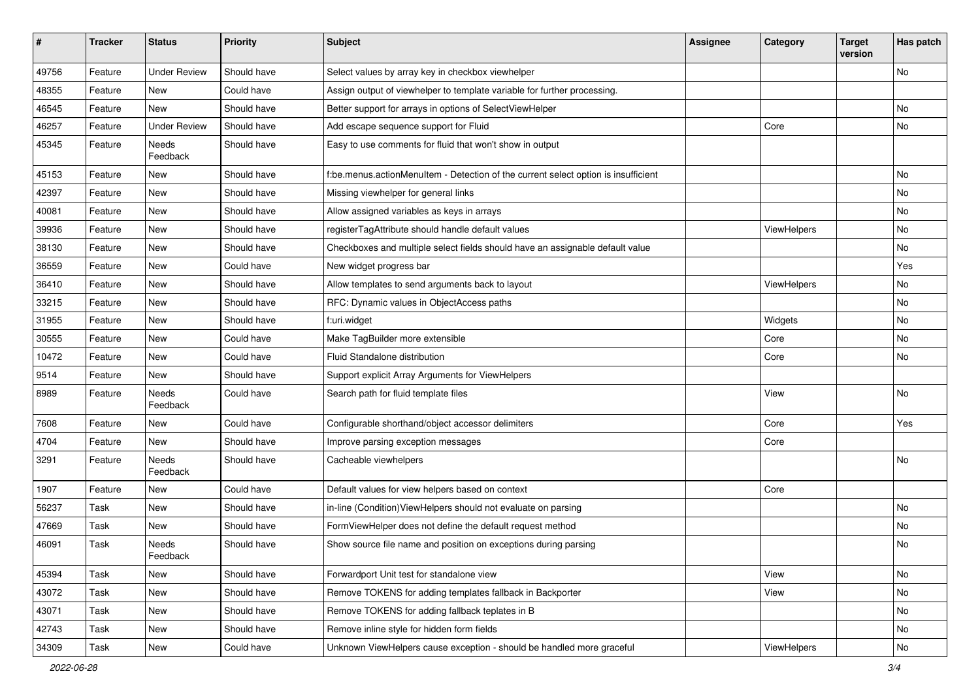| #     | <b>Tracker</b> | <b>Status</b>       | <b>Priority</b> | <b>Subject</b>                                                                     | <b>Assignee</b> | Category    | <b>Target</b><br>version | Has patch |
|-------|----------------|---------------------|-----------------|------------------------------------------------------------------------------------|-----------------|-------------|--------------------------|-----------|
| 49756 | Feature        | <b>Under Review</b> | Should have     | Select values by array key in checkbox viewhelper                                  |                 |             |                          | No        |
| 48355 | Feature        | New                 | Could have      | Assign output of viewhelper to template variable for further processing.           |                 |             |                          |           |
| 46545 | Feature        | New                 | Should have     | Better support for arrays in options of SelectViewHelper                           |                 |             |                          | No        |
| 46257 | Feature        | <b>Under Review</b> | Should have     | Add escape sequence support for Fluid                                              |                 | Core        |                          | No        |
| 45345 | Feature        | Needs<br>Feedback   | Should have     | Easy to use comments for fluid that won't show in output                           |                 |             |                          |           |
| 45153 | Feature        | New                 | Should have     | f:be.menus.actionMenuItem - Detection of the current select option is insufficient |                 |             |                          | No        |
| 42397 | Feature        | New                 | Should have     | Missing viewhelper for general links                                               |                 |             |                          | No        |
| 40081 | Feature        | New                 | Should have     | Allow assigned variables as keys in arrays                                         |                 |             |                          | No        |
| 39936 | Feature        | New                 | Should have     | registerTagAttribute should handle default values                                  |                 | ViewHelpers |                          | No        |
| 38130 | Feature        | New                 | Should have     | Checkboxes and multiple select fields should have an assignable default value      |                 |             |                          | No        |
| 36559 | Feature        | New                 | Could have      | New widget progress bar                                                            |                 |             |                          | Yes       |
| 36410 | Feature        | New                 | Should have     | Allow templates to send arguments back to layout                                   |                 | ViewHelpers |                          | No        |
| 33215 | Feature        | New                 | Should have     | RFC: Dynamic values in ObjectAccess paths                                          |                 |             |                          | No        |
| 31955 | Feature        | New                 | Should have     | f:uri.widget                                                                       |                 | Widgets     |                          | No        |
| 30555 | Feature        | New                 | Could have      | Make TagBuilder more extensible                                                    |                 | Core        |                          | No        |
| 10472 | Feature        | New                 | Could have      | Fluid Standalone distribution                                                      |                 | Core        |                          | No        |
| 9514  | Feature        | New                 | Should have     | Support explicit Array Arguments for ViewHelpers                                   |                 |             |                          |           |
| 8989  | Feature        | Needs<br>Feedback   | Could have      | Search path for fluid template files                                               |                 | View        |                          | No        |
| 7608  | Feature        | New                 | Could have      | Configurable shorthand/object accessor delimiters                                  |                 | Core        |                          | Yes       |
| 4704  | Feature        | New                 | Should have     | Improve parsing exception messages                                                 |                 | Core        |                          |           |
| 3291  | Feature        | Needs<br>Feedback   | Should have     | Cacheable viewhelpers                                                              |                 |             |                          | No        |
| 1907  | Feature        | New                 | Could have      | Default values for view helpers based on context                                   |                 | Core        |                          |           |
| 56237 | Task           | New                 | Should have     | in-line (Condition) ViewHelpers should not evaluate on parsing                     |                 |             |                          | No        |
| 47669 | Task           | New                 | Should have     | FormViewHelper does not define the default request method                          |                 |             |                          | <b>No</b> |
| 46091 | Task           | Needs<br>Feedback   | Should have     | Show source file name and position on exceptions during parsing                    |                 |             |                          | No        |
| 45394 | Task           | New                 | Should have     | Forwardport Unit test for standalone view                                          |                 | View        |                          | No        |
| 43072 | Task           | New                 | Should have     | Remove TOKENS for adding templates fallback in Backporter                          |                 | View        |                          | No        |
| 43071 | Task           | New                 | Should have     | Remove TOKENS for adding fallback teplates in B                                    |                 |             |                          | No        |
| 42743 | Task           | New                 | Should have     | Remove inline style for hidden form fields                                         |                 |             |                          | No        |
| 34309 | Task           | New                 | Could have      | Unknown ViewHelpers cause exception - should be handled more graceful              |                 | ViewHelpers |                          | No        |